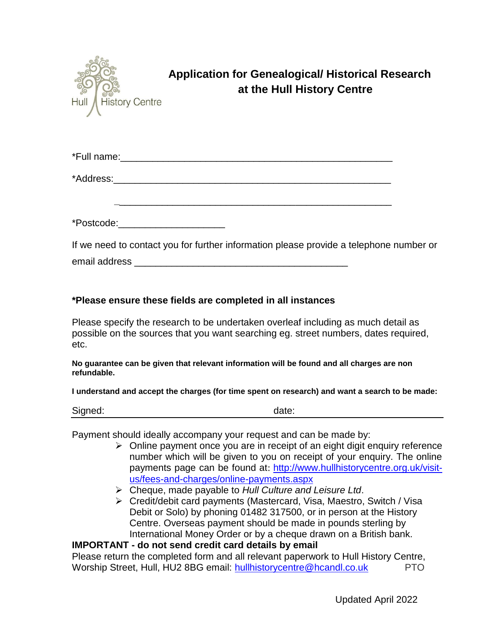

## **Application for Genealogical/ Historical Research at the Hull History Centre**

| *Full name: |  |  |  |
|-------------|--|--|--|
|             |  |  |  |
| *Address:   |  |  |  |

\*Postcode:\_\_\_\_\_\_\_\_\_\_\_\_\_\_\_\_\_\_\_\_

If we need to contact you for further information please provide a telephone number or email address \_\_\_\_\_\_\_\_\_\_\_\_\_\_\_\_\_\_\_\_\_\_\_\_\_\_\_\_\_\_\_\_\_\_\_\_\_\_\_\_

**\_**\_\_\_\_\_\_\_\_\_\_\_\_\_\_\_\_\_\_\_\_\_\_\_\_\_\_\_\_\_\_\_\_\_\_\_\_\_\_\_\_\_\_\_\_\_\_\_\_\_\_\_

## **\*Please ensure these fields are completed in all instances**

Please specify the research to be undertaken overleaf including as much detail as possible on the sources that you want searching eg. street numbers, dates required, etc.

**No guarantee can be given that relevant information will be found and all charges are non refundable.**

**I understand and accept the charges (for time spent on research) and want a search to be made:**

Signed: date: date: date: date: date: date: date: date: date: date: date: date: date: date: date: date:  $\frac{d}{dt}$ 

Payment should ideally accompany your request and can be made by:

- $\triangleright$  Online payment once you are in receipt of an eight digit enquiry reference number which will be given to you on receipt of your enquiry. The online payments page can be found at: [http://www.hullhistorycentre.org.uk/visit](http://www.hullhistorycentre.org.uk/visit-us/fees-and-charges/online-payments.aspx)[us/fees-and-charges/online-payments.aspx](http://www.hullhistorycentre.org.uk/visit-us/fees-and-charges/online-payments.aspx)
- Cheque, made payable to *Hull Culture and Leisure Ltd*.
- Credit/debit card payments (Mastercard, Visa, Maestro, Switch / Visa Debit or Solo) by phoning 01482 317500, or in person at the History Centre. Overseas payment should be made in pounds sterling by International Money Order or by a cheque drawn on a British bank.

## **IMPORTANT - do not send credit card details by email**

Please return the completed form and all relevant paperwork to Hull History Centre, Worship Street, Hull, HU2 8BG email: [hullhistorycentre@hcandl.co.uk](mailto:hullhistorycentre@hcandl.co.uk) PTO